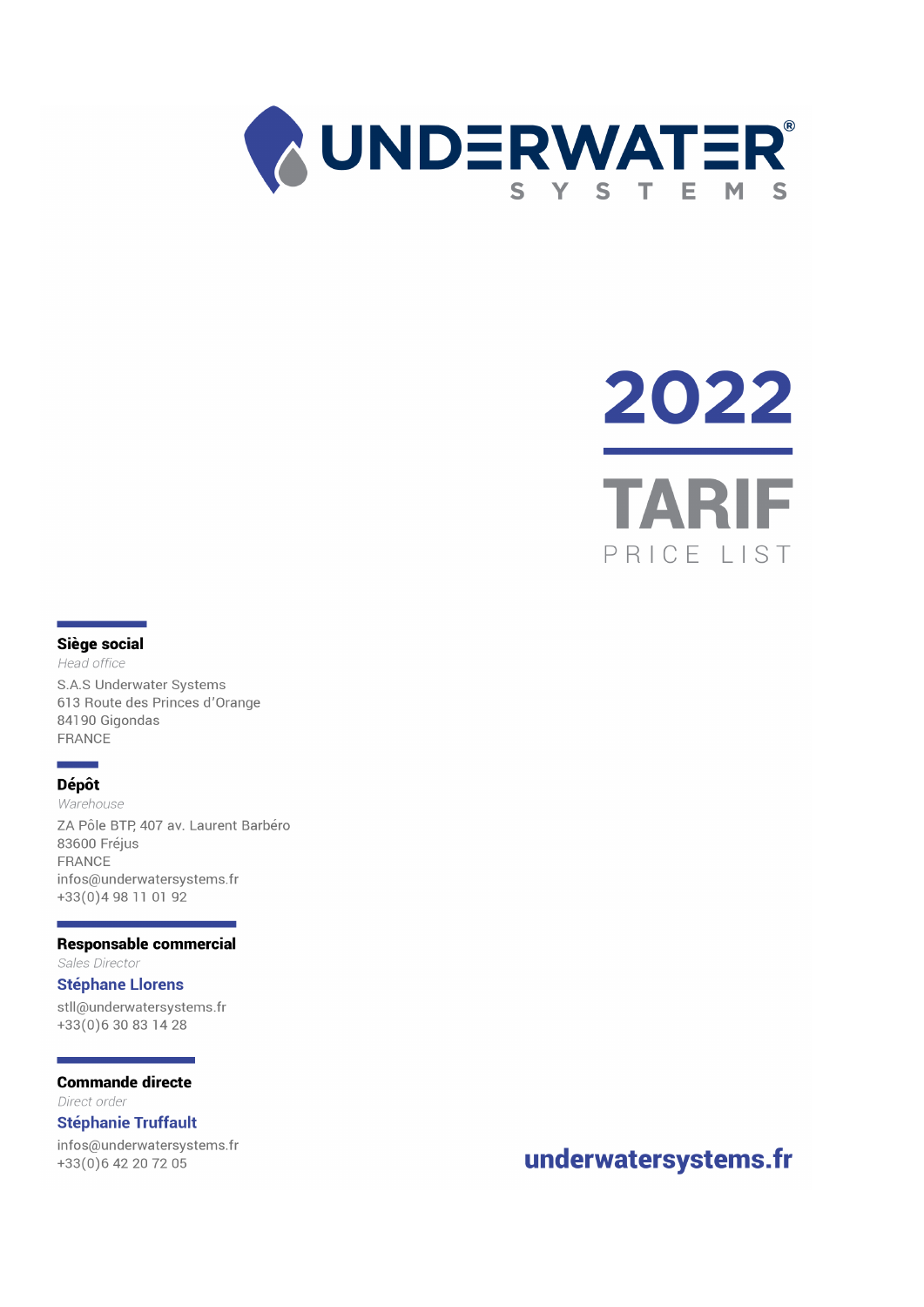

# 2022 **TARI** PRICE I IST

#### Siège social

Head office S.A.S Underwater Systems 613 Route des Princes d'Orange 84190 Gigondas FRANCE

# **Dépôt**

Warehouse ZA Pôle BTP, 407 av. Laurent Barbéro 83600 Fréjus FRANCE infos@underwatersystems.fr +33(0)4 98 11 01 92

#### **Responsable commercial**

Sales Director

#### **Stéphane Llorens**

stll@underwatersystems.fr +33(0)630831428

#### **Commande directe**

Direct order

### **Stéphanie Truffault**

infos@underwatersystems.fr +33(0)6 42 20 72 05

# underwatersystems.fr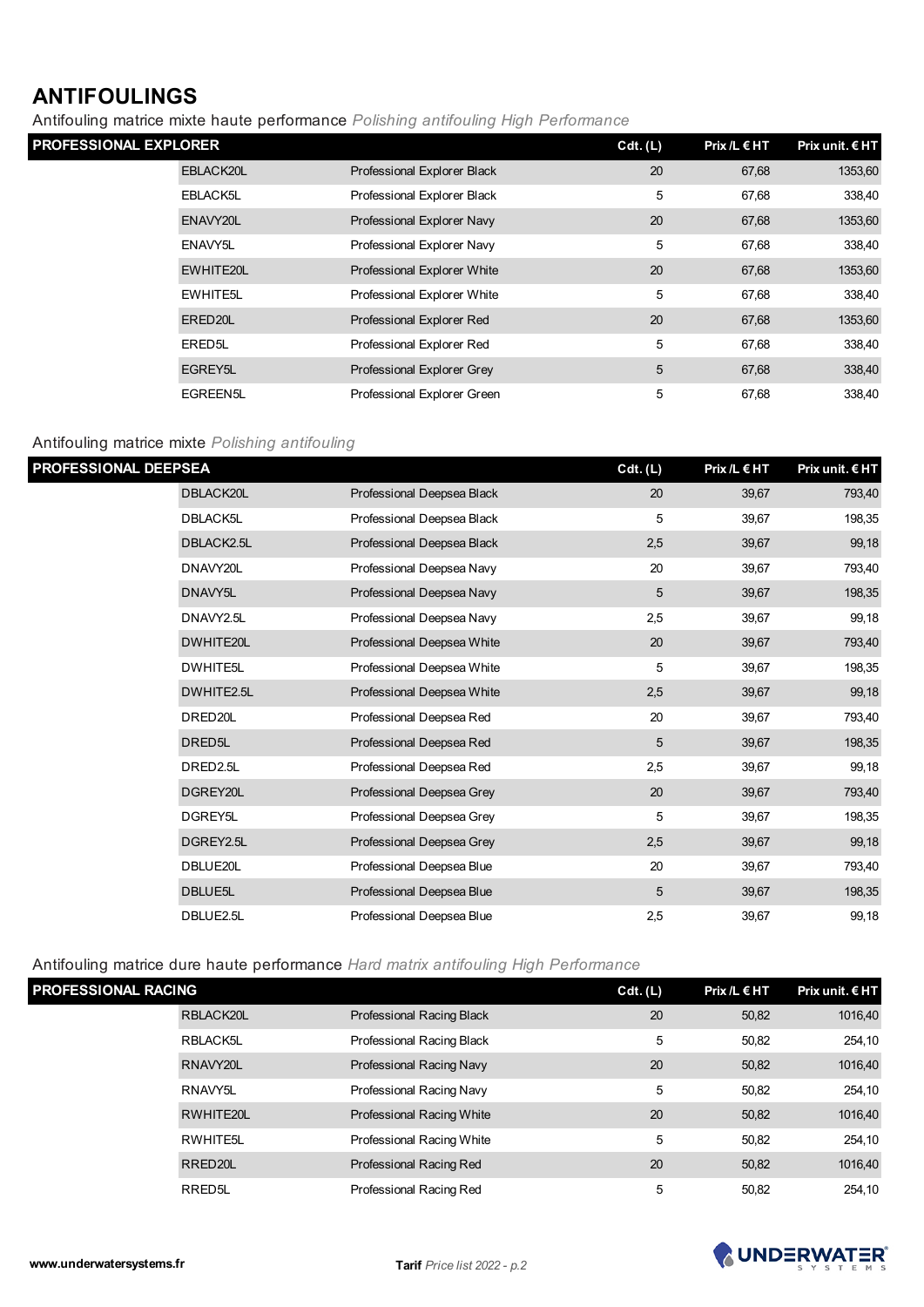# **ANTIFOULINGS**

Antifouling matrice mixte haute performance *Polishing antifouling High Performance* 

| <b>PROFESSIONAL EXPLORER</b> |                      | Cdt. (L)                    | Prix /L $\in$ HT | Prix unit. $\epsilon$ HT |         |
|------------------------------|----------------------|-----------------------------|------------------|--------------------------|---------|
|                              | EBLACK20L            | Professional Explorer Black | 20               | 67,68                    | 1353,60 |
|                              | EBLACK5L             | Professional Explorer Black | 5                | 67,68                    | 338,40  |
|                              | ENAVY20L             | Professional Explorer Navy  | 20               | 67,68                    | 1353,60 |
|                              | ENAVY <sub>5</sub> L | Professional Explorer Navy  | 5                | 67,68                    | 338,40  |
|                              | EWHITE20L            | Professional Explorer White | 20               | 67,68                    | 1353,60 |
|                              | <b>EWHITE5L</b>      | Professional Explorer White | 5                | 67,68                    | 338,40  |
|                              | ERED20L              | Professional Explorer Red   | 20               | 67,68                    | 1353,60 |
|                              | ERED <sub>5</sub> L  | Professional Explorer Red   | 5                | 67,68                    | 338,40  |
|                              | EGREY5L              | Professional Explorer Grey  | 5                | 67,68                    | 338,40  |
|                              | <b>EGREEN5L</b>      | Professional Explorer Green | 5                | 67,68                    | 338,40  |

# Antifouling matrice mixte *Polishing antifouling*

| PROFESSIONAL DEEPSEA |                    |                            | Cdt. (L) | $Prix / L \in HT$ | Prix unit. € HT |
|----------------------|--------------------|----------------------------|----------|-------------------|-----------------|
|                      | DBLACK20L          | Professional Deepsea Black | 20       | 39,67             | 793,40          |
|                      | <b>DBLACK5L</b>    | Professional Deepsea Black | 5        | 39,67             | 198,35          |
|                      | DBLACK2.5L         | Professional Deepsea Black | 2,5      | 39,67             | 99,18           |
|                      | DNAVY20L           | Professional Deepsea Navy  | 20       | 39,67             | 793,40          |
|                      | DNAVY5L            | Professional Deepsea Navy  | 5        | 39,67             | 198,35          |
|                      | DNAVY2.5L          | Professional Deepsea Navy  | 2,5      | 39,67             | 99,18           |
|                      | DWHITE20L          | Professional Deepsea White | 20       | 39,67             | 793,40          |
|                      | DWHITE5L           | Professional Deepsea White | 5        | 39,67             | 198,35          |
|                      | DWHITE2.5L         | Professional Deepsea White | 2,5      | 39,67             | 99,18           |
|                      | DRED20L            | Professional Deepsea Red   | 20       | 39,67             | 793,40          |
|                      | DRED <sub>5L</sub> | Professional Deepsea Red   | 5        | 39,67             | 198,35          |
|                      | DRED2.5L           | Professional Deepsea Red   | 2,5      | 39,67             | 99,18           |
|                      | DGREY20L           | Professional Deepsea Grey  | 20       | 39,67             | 793,40          |
|                      | DGREY5L            | Professional Deepsea Grey  | 5        | 39,67             | 198,35          |
|                      | DGREY2.5L          | Professional Deepsea Grey  | 2,5      | 39,67             | 99,18           |
|                      | DBLUE20L           | Professional Deepsea Blue  | 20       | 39,67             | 793,40          |
|                      | DBLUE5L            | Professional Deepsea Blue  | 5        | 39,67             | 198,35          |
|                      | DBLUE2.5L          | Professional Deepsea Blue  | 2,5      | 39,67             | 99,18           |

Antifouling matrice dure haute performance *Hard matrix antifouling High Performance*

| <b>PROFESSIONAL RACING</b> |                      |                           | Cdt. (L) | $Prix / L \in HT$ | Prix unit. $E$ HT |
|----------------------------|----------------------|---------------------------|----------|-------------------|-------------------|
|                            | RBLACK20L            | Professional Racing Black | 20       | 50,82             | 1016,40           |
|                            | RBLACK5L             | Professional Racing Black | 5        | 50,82             | 254,10            |
|                            | RNAVY20L             | Professional Racing Navy  | 20       | 50,82             | 1016,40           |
|                            | RNAVY <sub>5</sub> L | Professional Racing Navy  | 5        | 50,82             | 254,10            |
|                            | RWHITE20L            | Professional Racing White | 20       | 50,82             | 1016,40           |
|                            | RWHITE5L             | Professional Racing White | 5        | 50,82             | 254,10            |
|                            | RRED <sub>20</sub> L | Professional Racing Red   | 20       | 50,82             | 1016,40           |
|                            | RRED <sub>5</sub> L  | Professional Racing Red   | 5        | 50,82             | 254.10            |